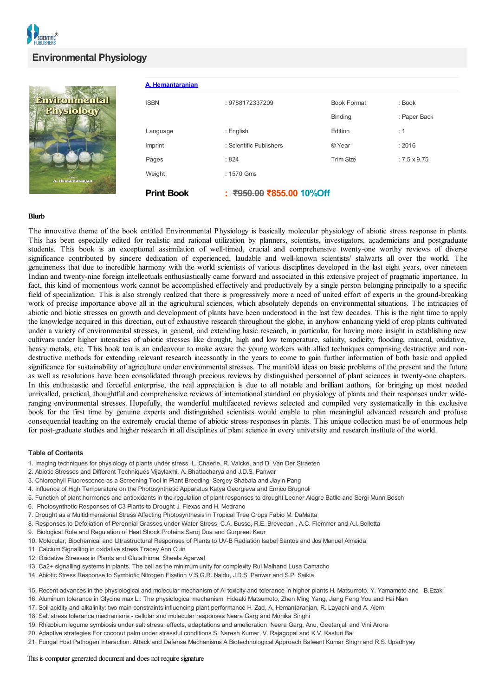| A. Hemantaranjan  |                          |                    |                  |
|-------------------|--------------------------|--------------------|------------------|
| <b>ISBN</b>       | : 9788172337209          | <b>Book Format</b> | $:$ Book         |
|                   |                          | <b>Binding</b>     | : Paper Back     |
| Language          | : English                | Edition            | : 1              |
| Imprint           | : Scientific Publishers  | © Year             | : 2016           |
| Pages             | :824                     | <b>Trim Size</b>   | $:7.5\times9.75$ |
| Weight            | : 1570 Gms               |                    |                  |
| <b>Print Book</b> | : ₹950.00 ₹855.00 10%Off |                    |                  |

## **Blurb**

The innovative theme of the book entitled Environmental Physiology is basically molecular physiology of abiotic stress response in plants. This has been especially edited for realistic and rational utilization by planners, scientists, investigators, academicians and postgraduate students. This book is an exceptional assimilation of well-timed, crucial and comprehensive twenty-one worthy reviews of diverse significance contributed by sincere dedication of experienced, laudable and well-known scientists/ stalwarts all over the world. The genuineness that due to incredible harmony with the world scientists of various disciplines developed in the last eight years, over nineteen Indian and twenty-nine foreign intellectuals enthusiastically came forward and associated in this extensive project of pragmatic importance. In fact, this kind of momentous work cannot be accomplished effectively and productively by a single person belonging principally to a specific field of specialization. This is also strongly realized that there is progressively more a need of united effort of experts in the ground-breaking work of precise importance above all in the agricultural sciences, which absolutely depends on environmental situations. The intricacies of abiotic and biotic stresses on growth and development of plants have been understood in the last few decades. This is the right time to apply the knowledge acquired in this direction, out of exhaustive research throughout the globe, in anyhow enhancing yield of crop plants cultivated under a variety of environmental stresses, in general, and extending basic research, in particular, for having more insight in establishing new cultivars under higher intensities of abiotic stresses like drought, high and low temperature, salinity, sodicity, flooding, mineral, oxidative, heavy metals, etc. This book too is an endeavour to make aware the young workers with allied techniques comprising destructive and nondestructive methods for extending relevant research incessantly in the years to come to gain further information of both basic and applied significance for sustainability of agriculture under environmental stresses. The manifold ideas on basic problems of the present and the future as well as resolutions have been consolidated through precious reviews by distinguished personnel of plant sciences in twenty-one chapters. In this enthusiastic and forceful enterprise, the real appreciation is due to all notable and brilliant authors, for bringing up most needed unrivalled, practical, thoughtful and comprehensive reviews of international standard on physiology of plants and their responses under wideranging environmental stresses. Hopefully, the wonderful multifaceted reviews selected and compiled very systematically in this exclusive book for the first time by genuine experts and distinguished scientists would enable to plan meaningful advanced research and profuse consequential teaching on the extremely crucial theme of abiotic stress responses in plants. This unique collection must be of enormous help for post-graduate studies and higher research in all disciplines of plant science in every university and research institute of the world.

## **Table of Contents**

- 1. Imaging techniques for physiology of plants under stress L. Chaerle, R. Valcke, and D. Van Der Straeten
- 2. Abiotic Stresses and Different Techniques Vijaylaxmi, A. Bhattacharya and J.D.S. Panwar
- 3. Chlorophyll Fluorescence as a Screening Tool in Plant Breeding Sergey Shabala and Jiayin Pang
- 4. Influence of High Temperature on the Photosynthetic Apparatus Katya Georgieva and Enrico Brugnoli
- 5. Function of plant hormones and antioxidants in the regulation of plant responses to drought Leonor Alegre Batlle and Sergi Munn Bosch
- 6. Photosynthetic Responses of C3 Plants to Drought J. Flexas and H. Medrano
- 7. Drought as a Multidimensional Stress Affecting Photosynthesis in Tropical Tree Crops Fabio M. DaMatta
- 8. Responses to Defoliation of Perennial Grasses under Water Stress C.A. Busso, R.E. Brevedan , A.C. Flemmer and A.I. Bolletta
- 9. Biological Role and Regulation of Heat Shock Proteins Saroj Dua and Gurpreet Kaur
- 10. Molecular, Biochemical and Ultrastructural Responses of Plants to UV-B Radiation Isabel Santos and Jos Manuel Almeida
- 11. Calcium Signalling in oxidative stress Tracey Ann Cuin
- 12. Oxidative Stresses in Plants and Glutathione Sheela Agarwal
- 13. Ca2+ signalling systems in plants. The cell as the minimum unity for complexity Rui Malhand Lusa Camacho
- 14. Abiotic Stress Response to Symbiotic Nitrogen Fixation V.S.G.R. Naidu, J.D.S. Panwar and S.P. Saikia
- 15. Recent advances in the physiological and molecular mechanism of Al toxicity and tolerance in higher plants H. Matsumoto, Y. Yamamoto and B.Ezaki
- 16. Aluminum tolerance in Glycine max L.: The physiological mechanism Hideaki Matsumoto, Zhen Ming Yang, Jiang Feng You and Hai Nian
- 17. Soil acidity and alkalinity: two main constraints influencing plant performance H. Zad, A. Hemantaranjan, R. Layachi and A. Alem
- 18. Salt stress tolerance mechanisms cellular and molecular responses Neera Garg and Monika Singhi
- 19. Rhizobium legume symbiosis under salt stress: effects, adaptations and amelioration Neera Garg, Anu, Geetanjali and Vini Arora
- 20. Adaptive strategies For coconut palm under stressful conditions S. Naresh Kumar, V. Rajagopal and K.V. Kasturi Bai
- 21. Fungal Host Pathogen Interaction: Attack and Defense Mechanisms A Biotechnological Approach Balwant Kumar Singh and R.S. Upadhyay

## This is computer generated document and does not require signature